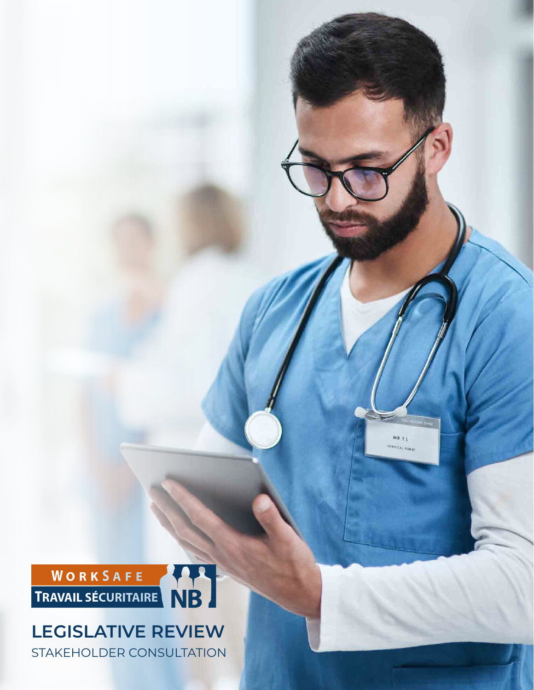ROICAL RURSE

 $\widetilde{\mathsf{M}}\widetilde{\mathfrak{p}}_{(T,1)}$ 



## **LEGISLATIVE REVIEW** STAKEHOLDER CONSULTATION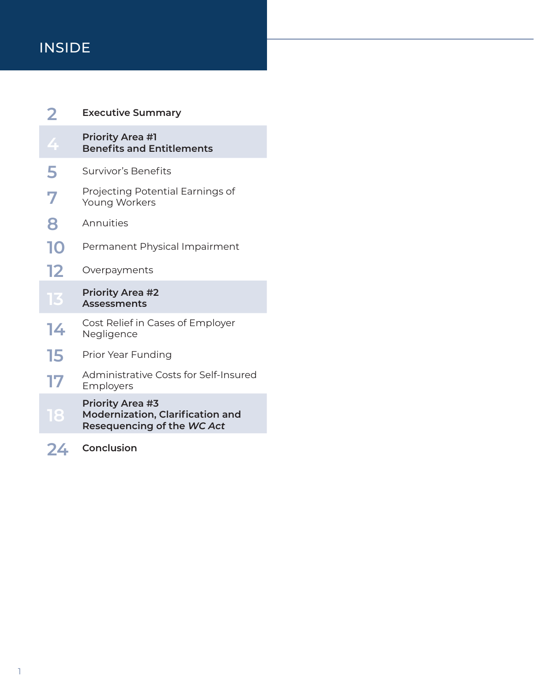## INSIDE

|    | <b>Executive Summary</b>                                                                         |
|----|--------------------------------------------------------------------------------------------------|
| 4  | <b>Priority Area #1</b><br><b>Benefits and Entitlements</b>                                      |
| 5  | Survivor's Benefits                                                                              |
| 7  | Projecting Potential Earnings of<br>Young Workers                                                |
| 8  | Annuities                                                                                        |
| 10 | Permanent Physical Impairment                                                                    |
| 12 | Overpayments                                                                                     |
|    |                                                                                                  |
| 13 | <b>Priority Area #2</b><br><b>Assessments</b>                                                    |
| 14 | Cost Relief in Cases of Employer<br>Negligence                                                   |
| 15 | Prior Year Funding                                                                               |
| 17 | <b>Administrative Costs for Self-Insured</b><br>Employers                                        |
| 18 | <b>Priority Area #3</b><br><b>Modernization, Clarification and</b><br>Resequencing of the WC Act |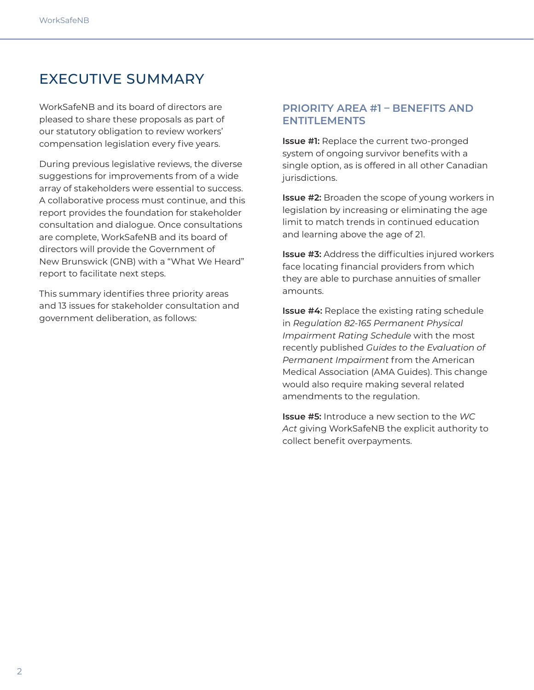## EXECUTIVE SUMMARY

WorkSafeNB and its board of directors are pleased to share these proposals as part of our statutory obligation to review workers' compensation legislation every five years.

During previous legislative reviews, the diverse suggestions for improvements from of a wide array of stakeholders were essential to success. A collaborative process must continue, and this report provides the foundation for stakeholder consultation and dialogue. Once consultations are complete, WorkSafeNB and its board of directors will provide the Government of New Brunswick (GNB) with a "What We Heard" report to facilitate next steps.

This summary identifies three priority areas and 13 issues for stakeholder consultation and government deliberation, as follows:

### **PRIORITY AREA #1 – BENEFITS AND ENTITLEMENTS**

**Issue #1:** Replace the current two-pronged system of ongoing survivor benefits with a single option, as is offered in all other Canadian jurisdictions.

**Issue #2:** Broaden the scope of young workers in legislation by increasing or eliminating the age limit to match trends in continued education and learning above the age of 21.

**Issue #3:** Address the difficulties injured workers face locating financial providers from which they are able to purchase annuities of smaller amounts.

**Issue #4:** Replace the existing rating schedule in *Regulation 82-165 Permanent Physical Impairment Rating Schedule* with the most recently published *Guides to the Evaluation of Permanent Impairment* from the American Medical Association (AMA Guides). This change would also require making several related amendments to the regulation.

**Issue #5:** Introduce a new section to the *WC Act* giving WorkSafeNB the explicit authority to collect benefit overpayments.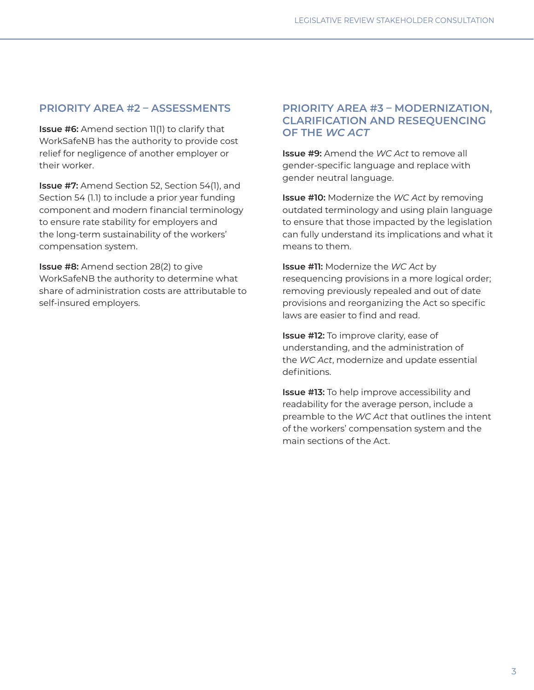### **PRIORITY AREA #2 – ASSESSMENTS**

**Issue #6:** Amend section 11(1) to clarify that WorkSafeNB has the authority to provide cost relief for negligence of another employer or their worker.

**Issue #7:** Amend Section 52, Section 54(1), and Section 54 (1.1) to include a prior year funding component and modern financial terminology to ensure rate stability for employers and the long-term sustainability of the workers' compensation system.

**Issue #8:** Amend section 28(2) to give WorkSafeNB the authority to determine what share of administration costs are attributable to self-insured employers.

### **PRIORITY AREA #3 – MODERNIZATION, CLARIFICATION AND RESEQUENCING OF THE** *WC ACT*

**Issue #9:** Amend the *WC Act* to remove all gender-specific language and replace with gender neutral language.

**Issue #10:** Modernize the *WC Act* by removing outdated terminology and using plain language to ensure that those impacted by the legislation can fully understand its implications and what it means to them.

**Issue #11:** Modernize the *WC Act* by resequencing provisions in a more logical order; removing previously repealed and out of date provisions and reorganizing the Act so specific laws are easier to find and read.

**Issue #12:** To improve clarity, ease of understanding, and the administration of the *WC Act*, modernize and update essential definitions.

**Issue #13:** To help improve accessibility and readability for the average person, include a preamble to the *WC Act* that outlines the intent of the workers' compensation system and the main sections of the Act.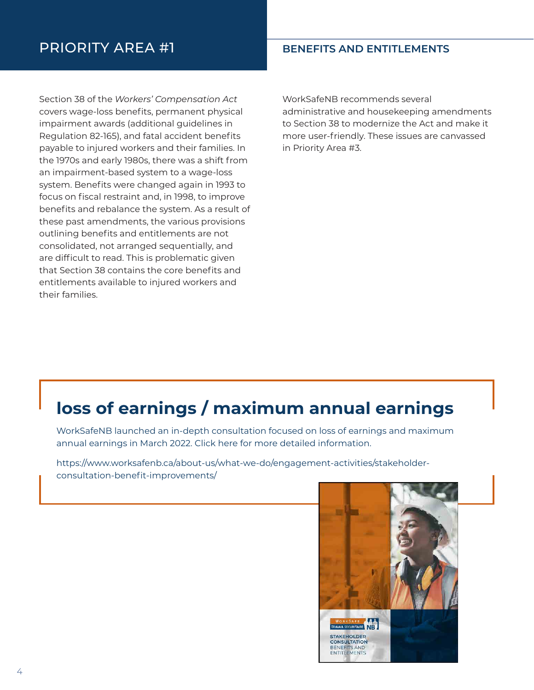## PRIORITY AREA #1 **BENEFITS AND ENTITLEMENTS**

Section 38 of the *Workers' Compensation Act* covers wage-loss benefits, permanent physical impairment awards (additional guidelines in Regulation 82-165), and fatal accident benefits payable to injured workers and their families. In the 1970s and early 1980s, there was a shift from an impairment-based system to a wage-loss system. Benefits were changed again in 1993 to focus on fiscal restraint and, in 1998, to improve benefits and rebalance the system. As a result of these past amendments, the various provisions outlining benefits and entitlements are not consolidated, not arranged sequentially, and are difficult to read. This is problematic given that Section 38 contains the core benefits and entitlements available to injured workers and their families.

WorkSafeNB recommends several administrative and housekeeping amendments to Section 38 to modernize the Act and make it more user-friendly. These issues are canvassed in Priority Area #3.

## **loss of earnings / maximum annual earnings**

WorkSafeNB launched an in-depth consultation focused on loss of earnings and maximum annual earnings in March 2022. Click here for more detailed information.

https://www.worksafenb.ca/about-us/what-we-do/engagement-activities/stakeholderconsultation-benefit-improvements/

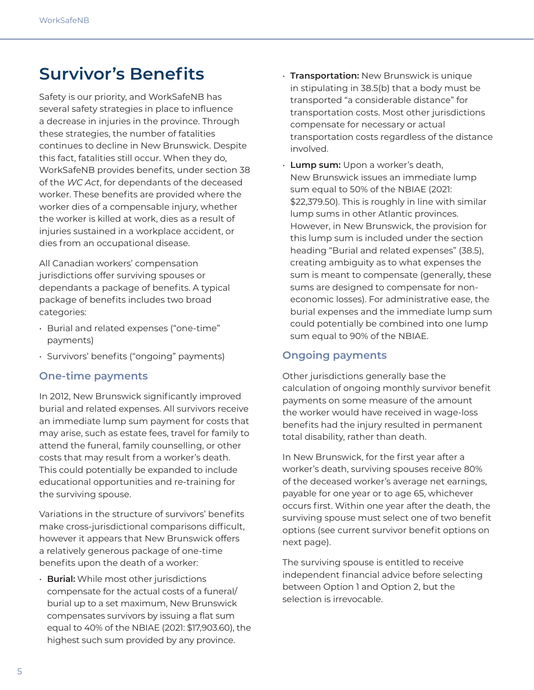## **Survivor's Benefits**

Safety is our priority, and WorkSafeNB has several safety strategies in place to influence a decrease in injuries in the province. Through these strategies, the number of fatalities continues to decline in New Brunswick. Despite this fact, fatalities still occur. When they do, WorkSafeNB provides benefits, under section 38 of the *WC Act*, for dependants of the deceased worker. These benefits are provided where the worker dies of a compensable injury, whether the worker is killed at work, dies as a result of injuries sustained in a workplace accident, or dies from an occupational disease.

All Canadian workers' compensation jurisdictions offer surviving spouses or dependants a package of benefits. A typical package of benefits includes two broad categories:

- Burial and related expenses ("one-time" payments)
- Survivors' benefits ("ongoing" payments)

### **One-time payments**

In 2012, New Brunswick significantly improved burial and related expenses. All survivors receive an immediate lump sum payment for costs that may arise, such as estate fees, travel for family to attend the funeral, family counselling, or other costs that may result from a worker's death. This could potentially be expanded to include educational opportunities and re-training for the surviving spouse.

Variations in the structure of survivors' benefits make cross-jurisdictional comparisons difficult, however it appears that New Brunswick offers a relatively generous package of one-time benefits upon the death of a worker:

• **Burial:** While most other jurisdictions compensate for the actual costs of a funeral/ burial up to a set maximum, New Brunswick compensates survivors by issuing a flat sum equal to 40% of the NBIAE (2021: \$17,903.60), the highest such sum provided by any province.

- **Transportation:** New Brunswick is unique in stipulating in 38.5(b) that a body must be transported "a considerable distance" for transportation costs. Most other jurisdictions compensate for necessary or actual transportation costs regardless of the distance involved.
- **Lump sum:** Upon a worker's death, New Brunswick issues an immediate lump sum equal to 50% of the NBIAE (2021: \$22,379.50). This is roughly in line with similar lump sums in other Atlantic provinces. However, in New Brunswick, the provision for this lump sum is included under the section heading "Burial and related expenses" (38.5), creating ambiguity as to what expenses the sum is meant to compensate (generally, these sums are designed to compensate for noneconomic losses). For administrative ease, the burial expenses and the immediate lump sum could potentially be combined into one lump sum equal to 90% of the NBIAE.

## **Ongoing payments**

Other jurisdictions generally base the calculation of ongoing monthly survivor benefit payments on some measure of the amount the worker would have received in wage-loss benefits had the injury resulted in permanent total disability, rather than death.

In New Brunswick, for the first year after a worker's death, surviving spouses receive 80% of the deceased worker's average net earnings, payable for one year or to age 65, whichever occurs first. Within one year after the death, the surviving spouse must select one of two benefit options (see current survivor benefit options on next page).

The surviving spouse is entitled to receive independent financial advice before selecting between Option 1 and Option 2, but the selection is irrevocable.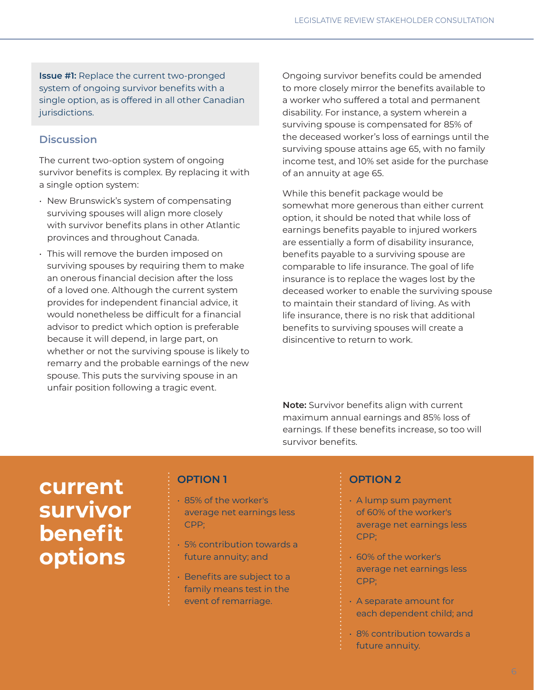**Issue #1:** Replace the current two-pronged system of ongoing survivor benefits with a single option, as is offered in all other Canadian jurisdictions.

## **Discussion**

The current two-option system of ongoing survivor benefits is complex. By replacing it with a single option system:

- New Brunswick's system of compensating surviving spouses will align more closely with survivor benefits plans in other Atlantic provinces and throughout Canada.
- This will remove the burden imposed on surviving spouses by requiring them to make an onerous financial decision after the loss of a loved one. Although the current system provides for independent financial advice, it would nonetheless be difficult for a financial advisor to predict which option is preferable because it will depend, in large part, on whether or not the surviving spouse is likely to remarry and the probable earnings of the new spouse. This puts the surviving spouse in an unfair position following a tragic event.

Ongoing survivor benefits could be amended to more closely mirror the benefits available to a worker who suffered a total and permanent disability. For instance, a system wherein a surviving spouse is compensated for 85% of the deceased worker's loss of earnings until the surviving spouse attains age 65, with no family income test, and 10% set aside for the purchase of an annuity at age 65.

While this benefit package would be somewhat more generous than either current option, it should be noted that while loss of earnings benefits payable to injured workers are essentially a form of disability insurance, benefits payable to a surviving spouse are comparable to life insurance. The goal of life insurance is to replace the wages lost by the deceased worker to enable the surviving spouse to maintain their standard of living. As with life insurance, there is no risk that additional benefits to surviving spouses will create a disincentive to return to work.

**Note:** Survivor benefits align with current maximum annual earnings and 85% loss of earnings. If these benefits increase, so too will survivor benefits.

# **current survivor benefit options**

## **OPTION 1**

- 85% of the worker's average net earnings less CPP;
- 5% contribution towards a future annuity; and
- Benefits are subject to a family means test in the event of remarriage.

## **OPTION 2**

- A lump sum payment of 60% of the worker's average net earnings less CPP;
- 60% of the worker's average net earnings less CPP;
- A separate amount for each dependent child; and
- 8% contribution towards a future annuity.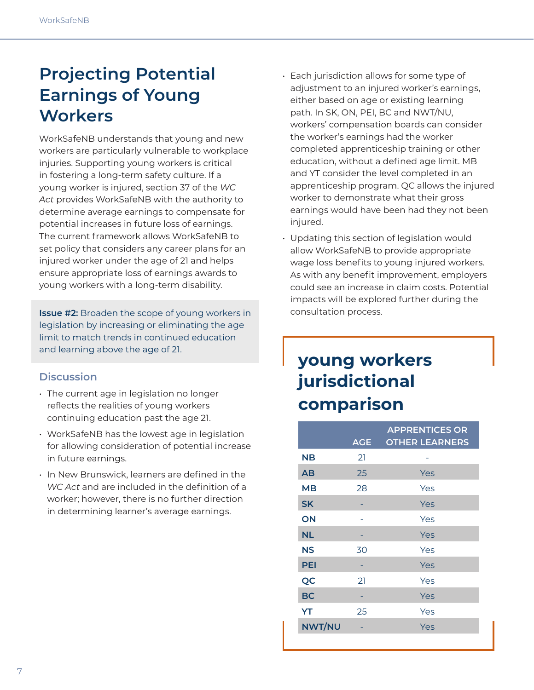## **Projecting Potential Earnings of Young Workers**

WorkSafeNB understands that young and new workers are particularly vulnerable to workplace injuries. Supporting young workers is critical in fostering a long-term safety culture. If a young worker is injured, section 37 of the *WC Act* provides WorkSafeNB with the authority to determine average earnings to compensate for potential increases in future loss of earnings. The current framework allows WorkSafeNB to set policy that considers any career plans for an injured worker under the age of 21 and helps ensure appropriate loss of earnings awards to young workers with a long-term disability.

**Issue #2:** Broaden the scope of young workers in legislation by increasing or eliminating the age limit to match trends in continued education and learning above the age of 21.

### **Discussion**

- The current age in legislation no longer reflects the realities of young workers continuing education past the age 21.
- WorkSafeNB has the lowest age in legislation for allowing consideration of potential increase in future earnings.
- In New Brunswick, learners are defined in the *WC Act* and are included in the definition of a worker; however, there is no further direction in determining learner's average earnings.
- Each jurisdiction allows for some type of adjustment to an injured worker's earnings, either based on age or existing learning path. In SK, ON, PEI, BC and NWT/NU, workers' compensation boards can consider the worker's earnings had the worker completed apprenticeship training or other education, without a defined age limit. MB and YT consider the level completed in an apprenticeship program. QC allows the injured worker to demonstrate what their gross earnings would have been had they not been injured.
- Updating this section of legislation would allow WorkSafeNB to provide appropriate wage loss benefits to young injured workers. As with any benefit improvement, employers could see an increase in claim costs. Potential impacts will be explored further during the consultation process.

## **young workers jurisdictional comparison**

|               | <b>AGE</b> | <b>APPRENTICES OR</b><br><b>OTHER LEARNERS</b> |
|---------------|------------|------------------------------------------------|
| <b>NB</b>     | 21         |                                                |
| AB            | 25         | Yes                                            |
| MВ            | 28         | Yes                                            |
| <b>SK</b>     |            | Yes                                            |
| ON            |            | Yes                                            |
| <b>NL</b>     |            | Yes                                            |
| <b>NS</b>     | 30         | Yes                                            |
| <b>PEI</b>    |            | Yes                                            |
| QC            | 21         | Yes                                            |
| <b>BC</b>     |            | Yes                                            |
| YT            | 25         | Yes                                            |
| <b>NWT/NU</b> |            | Yes                                            |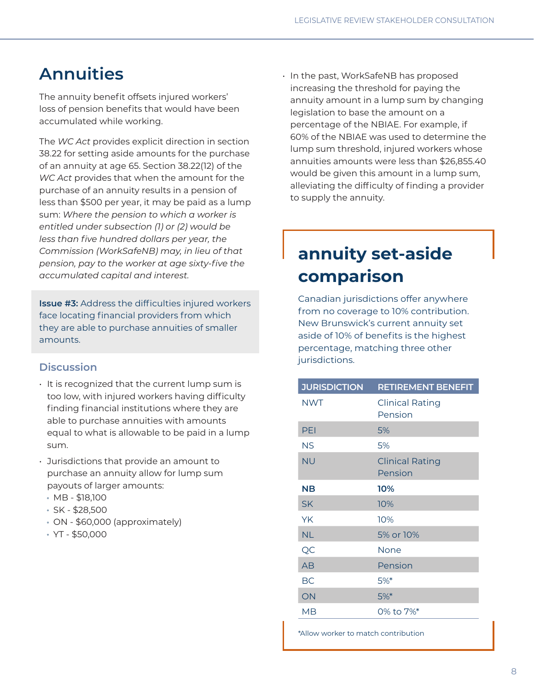## **Annuities**

The annuity benefit offsets injured workers' loss of pension benefits that would have been accumulated while working.

The *WC Act* provides explicit direction in section 38.22 for setting aside amounts for the purchase of an annuity at age 65. Section 38.22(12) of the *WC Act* provides that when the amount for the purchase of an annuity results in a pension of less than \$500 per year, it may be paid as a lump sum: *Where the pension to which a worker is entitled under subsection (1) or (2) would be less than five hundred dollars per year, the Commission (WorkSafeNB) may, in lieu of that pension, pay to the worker at age sixty-five the accumulated capital and interest.*

**Issue #3:** Address the difficulties injured workers face locating financial providers from which they are able to purchase annuities of smaller amounts.

### **Discussion**

- It is recognized that the current lump sum is too low, with injured workers having difficulty finding financial institutions where they are able to purchase annuities with amounts equal to what is allowable to be paid in a lump sum.
- Jurisdictions that provide an amount to purchase an annuity allow for lump sum payouts of larger amounts:
	- MB \$18,100
	- $\cdot$  SK \$28,500
	- ON \$60,000 (approximately)
	- YT \$50,000

• In the past, WorkSafeNB has proposed increasing the threshold for paying the annuity amount in a lump sum by changing legislation to base the amount on a percentage of the NBIAE. For example, if 60% of the NBIAE was used to determine the lump sum threshold, injured workers whose annuities amounts were less than \$26,855.40 would be given this amount in a lump sum, alleviating the difficulty of finding a provider to supply the annuity.

## **annuity set-aside comparison**

Canadian jurisdictions offer anywhere from no coverage to 10% contribution. New Brunswick's current annuity set aside of 10% of benefits is the highest percentage, matching three other jurisdictions.

| <b>JURISDICTION</b> | <b>RETIREMENT BENEFIT</b>         |
|---------------------|-----------------------------------|
| <b>NWT</b>          | <b>Clinical Rating</b><br>Pension |
| PEI                 | 5%                                |
| <b>NS</b>           | 5%                                |
| <b>NU</b>           | <b>Clinical Rating</b><br>Pension |
| <b>NB</b>           | 10%                               |
| <b>SK</b>           | 10%                               |
| YK                  | 10%                               |
| <b>NL</b>           | 5% or 10%                         |
| QC                  | None                              |
| AB                  | Pension                           |
| BC                  | 5%                                |
| ON                  | $5%$ *                            |
| MB                  | 0% to 7%*                         |

\*Allow worker to match contribution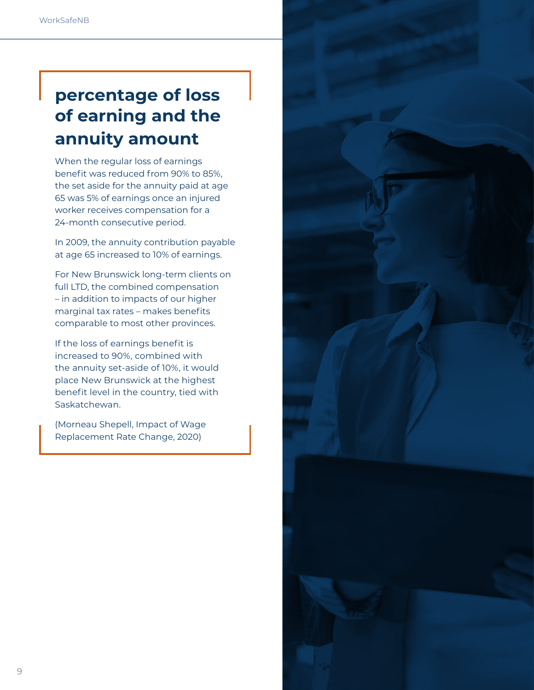# **percentage of loss of earning and the annuity amount**

When the regular loss of earnings benefit was reduced from 90% to 85%, the set aside for the annuity paid at age 65 was 5% of earnings once an injured worker receives compensation for a 24-month consecutive period.

In 2009, the annuity contribution payable at age 65 increased to 10% of earnings.

For New Brunswick long-term clients on full LTD, the combined compensation – in addition to impacts of our higher marginal tax rates – makes benefits comparable to most other provinces.

If the loss of earnings benefit is increased to 90%, combined with the annuity set-aside of 10%, it would place New Brunswick at the highest benefit level in the country, tied with Saskatchewan.

(Morneau Shepell, Impact of Wage Replacement Rate Change, 2020)

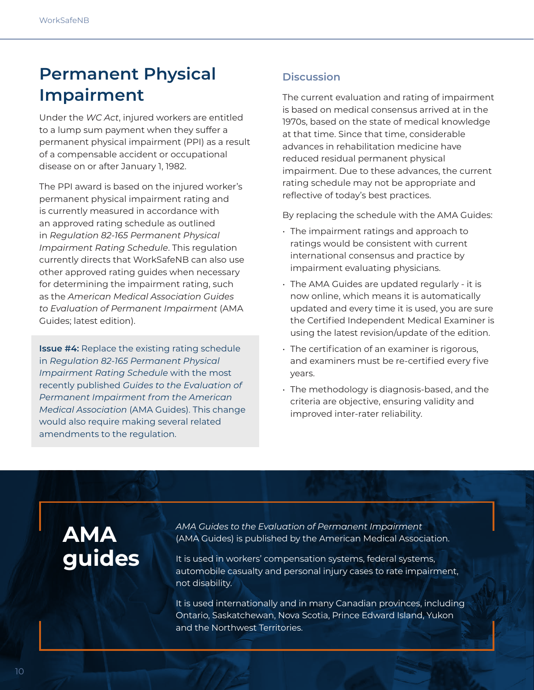## **Permanent Physical Impairment**

Under the *WC Act*, injured workers are entitled to a lump sum payment when they suffer a permanent physical impairment (PPI) as a result of a compensable accident or occupational disease on or after January 1, 1982.

The PPI award is based on the injured worker's permanent physical impairment rating and is currently measured in accordance with an approved rating schedule as outlined in *Regulation 82-165 Permanent Physical Impairment Rating Schedule*. This regulation currently directs that WorkSafeNB can also use other approved rating guides when necessary for determining the impairment rating, such as the *American Medical Association Guides to Evaluation of Permanent Impairment* (AMA Guides; latest edition).

**Issue #4:** Replace the existing rating schedule in *Regulation 82-165 Permanent Physical Impairment Rating Schedule* with the most recently published *Guides to the Evaluation of Permanent Impairment from the American Medical Association* (AMA Guides). This change would also require making several related amendments to the regulation.

## **Discussion**

The current evaluation and rating of impairment is based on medical consensus arrived at in the 1970s, based on the state of medical knowledge at that time. Since that time, considerable advances in rehabilitation medicine have reduced residual permanent physical impairment. Due to these advances, the current rating schedule may not be appropriate and reflective of today's best practices.

By replacing the schedule with the AMA Guides:

- The impairment ratings and approach to ratings would be consistent with current international consensus and practice by impairment evaluating physicians.
- The AMA Guides are updated regularly it is now online, which means it is automatically updated and every time it is used, you are sure the Certified Independent Medical Examiner is using the latest revision/update of the edition.
- The certification of an examiner is rigorous, and examiners must be re-certified every five years.
- The methodology is diagnosis-based, and the criteria are objective, ensuring validity and improved inter-rater reliability.

# **AMA guides**

*AMA Guides to the Evaluation of Permanent Impairment* (AMA Guides) is published by the American Medical Association.

It is used in workers' compensation systems, federal systems, automobile casualty and personal injury cases to rate impairment, not disability.

It is used internationally and in many Canadian provinces, including Ontario, Saskatchewan, Nova Scotia, Prince Edward Island, Yukon and the Northwest Territories.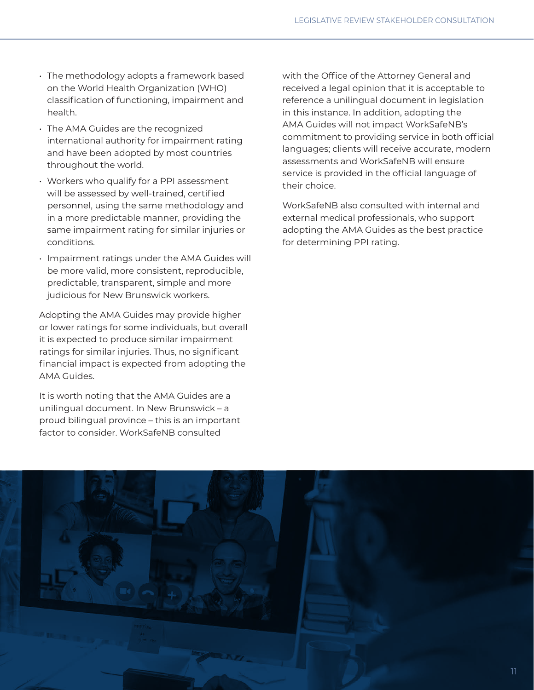- The methodology adopts a framework based on the World Health Organization (WHO) classification of functioning, impairment and health.
- The AMA Guides are the recognized international authority for impairment rating and have been adopted by most countries throughout the world.
- Workers who qualify for a PPI assessment will be assessed by well-trained, certified personnel, using the same methodology and in a more predictable manner, providing the same impairment rating for similar injuries or conditions.
- Impairment ratings under the AMA Guides will be more valid, more consistent, reproducible, predictable, transparent, simple and more judicious for New Brunswick workers.

Adopting the AMA Guides may provide higher or lower ratings for some individuals, but overall it is expected to produce similar impairment ratings for similar injuries. Thus, no significant financial impact is expected from adopting the AMA Guides.

It is worth noting that the AMA Guides are a unilingual document. In New Brunswick – a proud bilingual province – this is an important factor to consider. WorkSafeNB consulted

with the Office of the Attorney General and received a legal opinion that it is acceptable to reference a unilingual document in legislation in this instance. In addition, adopting the AMA Guides will not impact WorkSafeNB's commitment to providing service in both official languages; clients will receive accurate, modern assessments and WorkSafeNB will ensure service is provided in the official language of their choice.

WorkSafeNB also consulted with internal and external medical professionals, who support adopting the AMA Guides as the best practice for determining PPI rating.

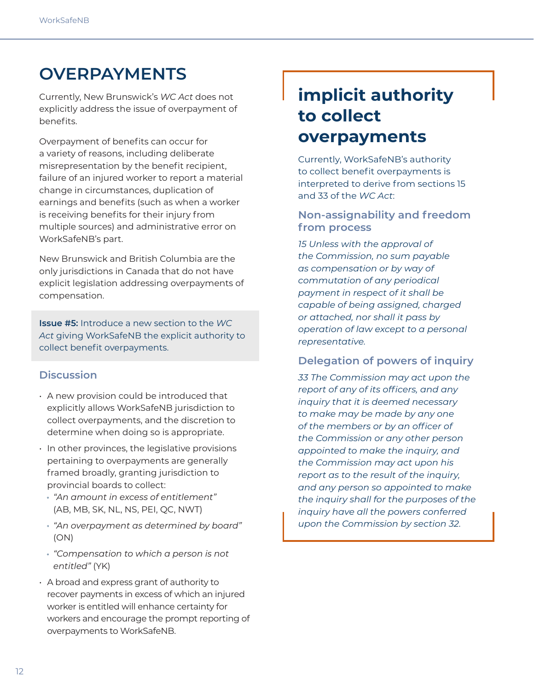## **OVERPAYMENTS**

Currently, New Brunswick's *WC Act* does not explicitly address the issue of overpayment of benefits.

Overpayment of benefits can occur for a variety of reasons, including deliberate misrepresentation by the benefit recipient, failure of an injured worker to report a material change in circumstances, duplication of earnings and benefits (such as when a worker is receiving benefits for their injury from multiple sources) and administrative error on WorkSafeNB's part.

New Brunswick and British Columbia are the only jurisdictions in Canada that do not have explicit legislation addressing overpayments of compensation.

**Issue #5:** Introduce a new section to the *WC Act* giving WorkSafeNB the explicit authority to collect benefit overpayments.

## **Discussion**

- A new provision could be introduced that explicitly allows WorkSafeNB jurisdiction to collect overpayments, and the discretion to determine when doing so is appropriate.
- In other provinces, the legislative provisions pertaining to overpayments are generally framed broadly, granting jurisdiction to provincial boards to collect:
	- *"An amount in excess of entitlement"* (AB, MB, SK, NL, NS, PEI, QC, NWT)
	- *"An overpayment as determined by board"* (ON)
	- *"Compensation to which a person is not entitled"* (YK)
- A broad and express grant of authority to recover payments in excess of which an injured worker is entitled will enhance certainty for workers and encourage the prompt reporting of overpayments to WorkSafeNB.

## **implicit authority to collect overpayments**

Currently, WorkSafeNB's authority to collect benefit overpayments is interpreted to derive from sections 15 and 33 of the *WC Act*:

### **Non-assignability and freedom from process**

*15 Unless with the approval of the Commission, no sum payable as compensation or by way of commutation of any periodical payment in respect of it shall be capable of being assigned, charged or attached, nor shall it pass by operation of law except to a personal representative.*

### **Delegation of powers of inquiry**

*33 The Commission may act upon the report of any of its officers, and any inquiry that it is deemed necessary to make may be made by any one of the members or by an officer of the Commission or any other person appointed to make the inquiry, and the Commission may act upon his report as to the result of the inquiry, and any person so appointed to make the inquiry shall for the purposes of the inquiry have all the powers conferred upon the Commission by section 32.*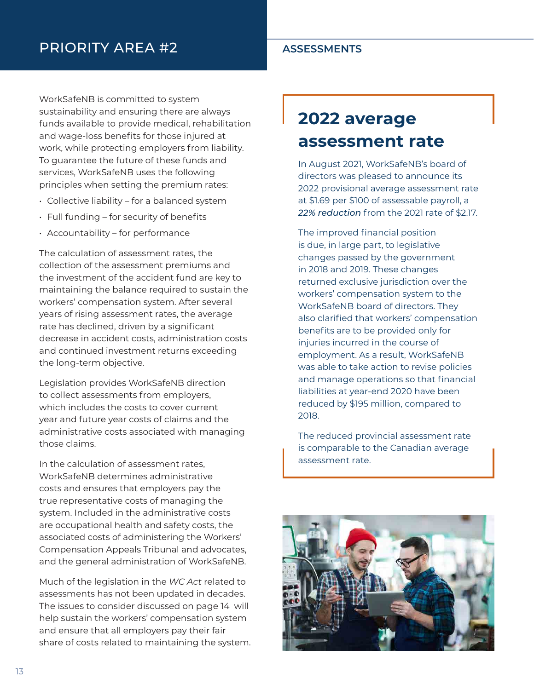## PRIORITY AREA #2 **ASSESSMENTS**

WorkSafeNB is committed to system sustainability and ensuring there are always funds available to provide medical, rehabilitation and wage-loss benefits for those injured at work, while protecting employers from liability. To guarantee the future of these funds and services, WorkSafeNB uses the following principles when setting the premium rates:

- Collective liability for a balanced system
- Full funding for security of benefits
- Accountability for performance

The calculation of assessment rates, the collection of the assessment premiums and the investment of the accident fund are key to maintaining the balance required to sustain the workers' compensation system. After several years of rising assessment rates, the average rate has declined, driven by a significant decrease in accident costs, administration costs and continued investment returns exceeding the long-term objective.

Legislation provides WorkSafeNB direction to collect assessments from employers, which includes the costs to cover current year and future year costs of claims and the administrative costs associated with managing those claims.

In the calculation of assessment rates, WorkSafeNB determines administrative costs and ensures that employers pay the true representative costs of managing the system. Included in the administrative costs are occupational health and safety costs, the associated costs of administering the Workers' Compensation Appeals Tribunal and advocates, and the general administration of WorkSafeNB.

Much of the legislation in the *WC Act* related to assessments has not been updated in decades. The issues to consider discussed on page 14 will help sustain the workers' compensation system and ensure that all employers pay their fair share of costs related to maintaining the system.

# **2022 average assessment rate**

In August 2021, WorkSafeNB's board of directors was pleased to announce its 2022 provisional average assessment rate at \$1.69 per \$100 of assessable payroll, a *22% reduction* from the 2021 rate of \$2.17.

The improved financial position is due, in large part, to legislative changes passed by the government in 2018 and 2019. These changes returned exclusive jurisdiction over the workers' compensation system to the WorkSafeNB board of directors. They also clarified that workers' compensation benefits are to be provided only for injuries incurred in the course of employment. As a result, WorkSafeNB was able to take action to revise policies and manage operations so that financial liabilities at year-end 2020 have been reduced by \$195 million, compared to 2018.

The reduced provincial assessment rate is comparable to the Canadian average assessment rate.

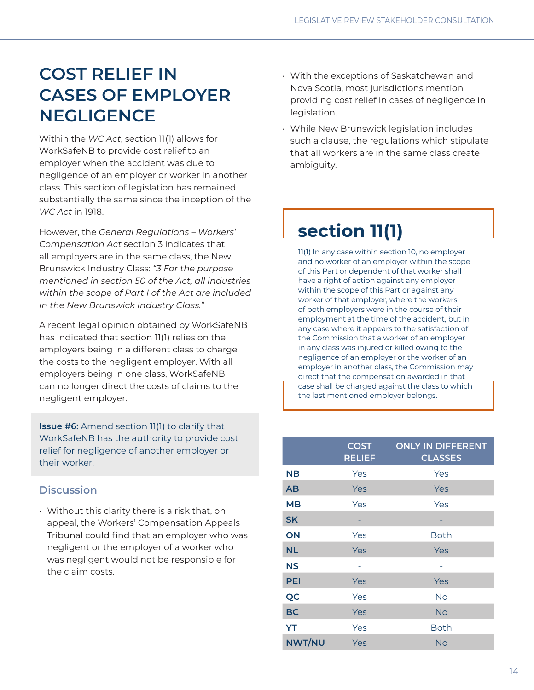## **COST RELIEF IN CASES OF EMPLOYER NEGLIGENCE**

Within the *WC Act*, section 11(1) allows for WorkSafeNB to provide cost relief to an employer when the accident was due to negligence of an employer or worker in another class. This section of legislation has remained substantially the same since the inception of the *WC Act* in 1918.

However, the *General Regulations – Workers' Compensation Act* section 3 indicates that all employers are in the same class, the New Brunswick Industry Class: *"3 For the purpose mentioned in section 50 of the Act, all industries within the scope of Part I of the Act are included in the New Brunswick Industry Class."*

A recent legal opinion obtained by WorkSafeNB has indicated that section 11(1) relies on the employers being in a different class to charge the costs to the negligent employer. With all employers being in one class, WorkSafeNB can no longer direct the costs of claims to the negligent employer.

**Issue #6:** Amend section 11(1) to clarify that WorkSafeNB has the authority to provide cost relief for negligence of another employer or their worker.

## **Discussion**

• Without this clarity there is a risk that, on appeal, the Workers' Compensation Appeals Tribunal could find that an employer who was negligent or the employer of a worker who was negligent would not be responsible for the claim costs.

- With the exceptions of Saskatchewan and Nova Scotia, most jurisdictions mention providing cost relief in cases of negligence in legislation.
- While New Brunswick legislation includes such a clause, the regulations which stipulate that all workers are in the same class create ambiguity.

# **section 11(1)**

11(1) In any case within section 10, no employer and no worker of an employer within the scope of this Part or dependent of that worker shall have a right of action against any employer within the scope of this Part or against any worker of that employer, where the workers of both employers were in the course of their employment at the time of the accident, but in any case where it appears to the satisfaction of the Commission that a worker of an employer in any class was injured or killed owing to the negligence of an employer or the worker of an employer in another class, the Commission may direct that the compensation awarded in that case shall be charged against the class to which the last mentioned employer belongs.

|               | <b>COST</b><br><b>RELIEF</b> | <b>ONLY IN DIFFERENT</b><br><b>CLASSES</b> |
|---------------|------------------------------|--------------------------------------------|
| NΒ            | Yes                          | Yes                                        |
| AB            | Yes                          | Yes                                        |
| <b>MB</b>     | Yes                          | Yes                                        |
| <b>SK</b>     |                              |                                            |
| ON            | Yes                          | <b>Both</b>                                |
| <b>NL</b>     | Yes                          | Yes                                        |
| <b>NS</b>     |                              |                                            |
| <b>PEI</b>    | Yes                          | Yes                                        |
| QC            | Yes                          | No                                         |
| <b>BC</b>     | Yes                          | No                                         |
| YT            | Yes                          | <b>Both</b>                                |
| <b>NWT/NU</b> | Yes                          | No                                         |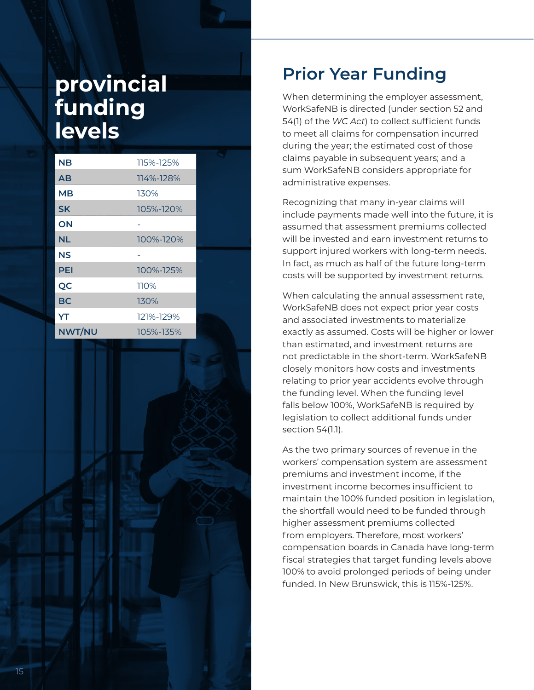# **provincial funding levels**

| <b>NB</b>     | 115%-125% |  |
|---------------|-----------|--|
| AB            | 114%-128% |  |
| MВ            | 130%      |  |
| <b>SK</b>     | 105%-120% |  |
| ON            |           |  |
| <b>NL</b>     | 100%-120% |  |
| ΝS            |           |  |
| <b>PEI</b>    | 100%-125% |  |
| QC            | 110%      |  |
| BC            | 130%      |  |
| YT            | 121%-129% |  |
| <b>NWT/NU</b> | 105%-135% |  |

## **Prior Year Funding**

When determining the employer assessment, WorkSafeNB is directed (under section 52 and 54(1) of the *WC Act*) to collect sufficient funds to meet all claims for compensation incurred during the year; the estimated cost of those claims payable in subsequent years; and a sum WorkSafeNB considers appropriate for administrative expenses.

Recognizing that many in-year claims will include payments made well into the future, it is assumed that assessment premiums collected will be invested and earn investment returns to support injured workers with long-term needs. In fact, as much as half of the future long-term costs will be supported by investment returns.

When calculating the annual assessment rate, WorkSafeNB does not expect prior year costs and associated investments to materialize exactly as assumed. Costs will be higher or lower than estimated, and investment returns are not predictable in the short-term. WorkSafeNB closely monitors how costs and investments relating to prior year accidents evolve through the funding level. When the funding level falls below 100%, WorkSafeNB is required by legislation to collect additional funds under section 54(1.1).

As the two primary sources of revenue in the workers' compensation system are assessment premiums and investment income, if the investment income becomes insufficient to maintain the 100% funded position in legislation, the shortfall would need to be funded through higher assessment premiums collected from employers. Therefore, most workers' compensation boards in Canada have long-term fiscal strategies that target funding levels above 100% to avoid prolonged periods of being under funded. In New Brunswick, this is 115%-125%.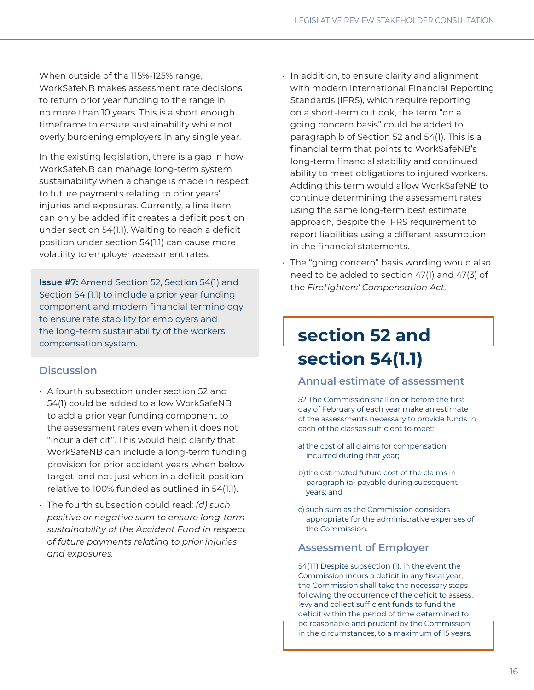When outside of the 115%-125% range, WorkSafeNB makes assessment rate decisions to return prior year funding to the range in no more than 10 years. This is a short enough timeframe to ensure sustainability while not overly burdening employers in any single year.

In the existing legislation, there is a gap in how WorkSafeNB can manage long-term system sustainability when a change is made in respect to future payments relating to prior years' injuries and exposures. Currently, a line item can only be added if it creates a deficit position under section 54(1.1). Waiting to reach a deficit position under section 54(1.1) can cause more volatility to employer assessment rates.

**Issue #7:** Amend Section 52, Section 54(1) and Section 54 (1.1) to include a prior year funding component and modern financial terminology to ensure rate stability for employers and the long-term sustainability of the workers' compensation system.

### **Discussion**

- A fourth subsection under section 52 and 54(1) could be added to allow WorkSafeNB to add a prior year funding component to the assessment rates even when it does not "incur a deficit". This would help clarify that WorkSafeNB can include a long-term funding provision for prior accident years when below target, and not just when in a deficit position relative to 100% funded as outlined in 54(1.1).
- The fourth subsection could read: *(d) such positive or negative sum to ensure long-term sustainability of the Accident Fund in respect of future payments relating to prior injuries and exposures.*
- In addition, to ensure clarity and alignment with modern International Financial Reporting Standards (IFRS), which require reporting on a short-term outlook, the term "on a going concern basis" could be added to paragraph b of Section 52 and 54(1). This is a financial term that points to WorkSafeNB's long-term financial stability and continued ability to meet obligations to injured workers. Adding this term would allow WorkSafeNB to continue determining the assessment rates using the same long-term best estimate approach, despite the IFRS requirement to report liabilities using a different assumption in the financial statements.
- The "going concern" basis wording would also need to be added to section 47(1) and 47(3) of the *Firefighters' Compensation Act.*

## **section 52 and section 54(1.1)**

### **Annual estimate of assessment**

52 The Commission shall on or before the first day of February of each year make an estimate of the assessments necessary to provide funds in each of the classes sufficient to meet:

- a) the cost of all claims for compensation incurred during that year;
- b) the estimated future cost of the claims in paragraph (a) payable during subsequent years; and
- c) such sum as the Commission considers appropriate for the administrative expenses of the Commission.

### **Assessment of Employer**

54(1.1) Despite subsection (1), in the event the Commission incurs a deficit in any fiscal year, the Commission shall take the necessary steps following the occurrence of the deficit to assess, levy and collect sufficient funds to fund the deficit within the period of time determined to be reasonable and prudent by the Commission in the circumstances, to a maximum of 15 years.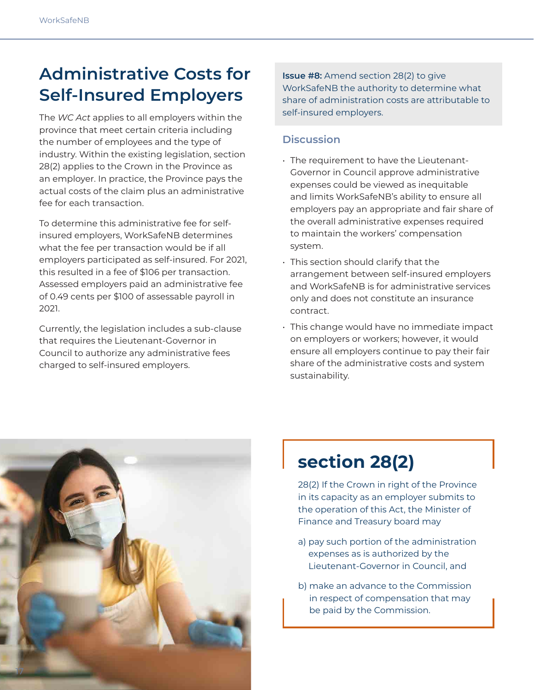## **Administrative Costs for Self-Insured Employers**

The *WC Act* applies to all employers within the province that meet certain criteria including the number of employees and the type of industry. Within the existing legislation, section 28(2) applies to the Crown in the Province as an employer. In practice, the Province pays the actual costs of the claim plus an administrative fee for each transaction.

To determine this administrative fee for selfinsured employers, WorkSafeNB determines what the fee per transaction would be if all employers participated as self-insured. For 2021, this resulted in a fee of \$106 per transaction. Assessed employers paid an administrative fee of 0.49 cents per \$100 of assessable payroll in 2021.

Currently, the legislation includes a sub-clause that requires the Lieutenant-Governor in Council to authorize any administrative fees charged to self-insured employers.

**Issue #8:** Amend section 28(2) to give WorkSafeNB the authority to determine what share of administration costs are attributable to self-insured employers.

## **Discussion**

- The requirement to have the Lieutenant-Governor in Council approve administrative expenses could be viewed as inequitable and limits WorkSafeNB's ability to ensure all employers pay an appropriate and fair share of the overall administrative expenses required to maintain the workers' compensation system.
- This section should clarify that the arrangement between self-insured employers and WorkSafeNB is for administrative services only and does not constitute an insurance contract.
- This change would have no immediate impact on employers or workers; however, it would ensure all employers continue to pay their fair share of the administrative costs and system sustainability.



# **section 28(2)**

28(2) If the Crown in right of the Province in its capacity as an employer submits to the operation of this Act, the Minister of Finance and Treasury board may

- a) pay such portion of the administration expenses as is authorized by the Lieutenant-Governor in Council, and
- b) make an advance to the Commission in respect of compensation that may be paid by the Commission.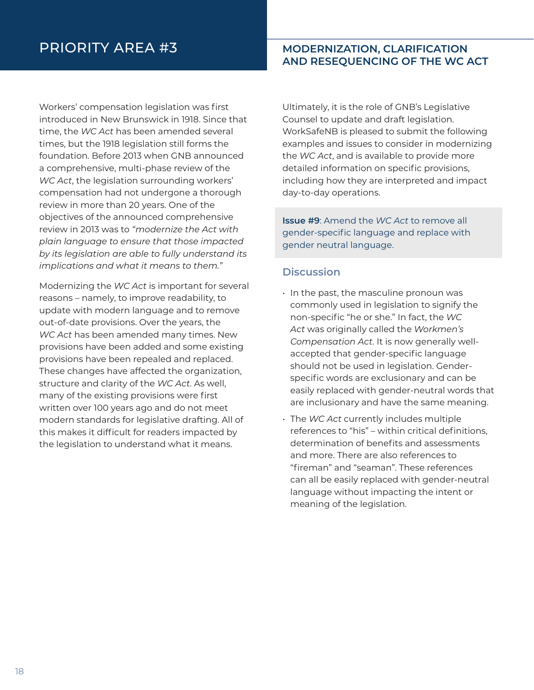## PRIORITY AREA #3 **MODERNIZATION, CLARIFICATION**

# **AND RESEQUENCING OF THE WC ACT**

Workers' compensation legislation was first introduced in New Brunswick in 1918. Since that time, the *WC Act* has been amended several times, but the 1918 legislation still forms the foundation. Before 2013 when GNB announced a comprehensive, multi-phase review of the *WC Act*, the legislation surrounding workers' compensation had not undergone a thorough review in more than 20 years. One of the objectives of the announced comprehensive review in 2013 was to *"modernize the Act with plain language to ensure that those impacted by its legislation are able to fully understand its implications and what it means to them."*

Modernizing the *WC Act* is important for several reasons – namely, to improve readability, to update with modern language and to remove out-of-date provisions. Over the years, the *WC Act* has been amended many times. New provisions have been added and some existing provisions have been repealed and replaced. These changes have affected the organization, structure and clarity of the *WC Act*. As well, many of the existing provisions were first written over 100 years ago and do not meet modern standards for legislative drafting. All of this makes it difficult for readers impacted by the legislation to understand what it means.

Ultimately, it is the role of GNB's Legislative Counsel to update and draft legislation. WorkSafeNB is pleased to submit the following examples and issues to consider in modernizing the *WC Act*, and is available to provide more detailed information on specific provisions, including how they are interpreted and impact day-to-day operations.

**Issue #9**: Amend the *WC Act* to remove all gender-specific language and replace with gender neutral language.

### **Discussion**

- In the past, the masculine pronoun was commonly used in legislation to signify the non-specific "he or she." In fact, the *WC Act* was originally called the *Workmen's Compensation Act*. It is now generally wellaccepted that gender-specific language should not be used in legislation. Genderspecific words are exclusionary and can be easily replaced with gender-neutral words that are inclusionary and have the same meaning.
- The *WC Act* currently includes multiple references to "his" – within critical definitions, determination of benefits and assessments and more. There are also references to "fireman" and "seaman". These references can all be easily replaced with gender-neutral language without impacting the intent or meaning of the legislation.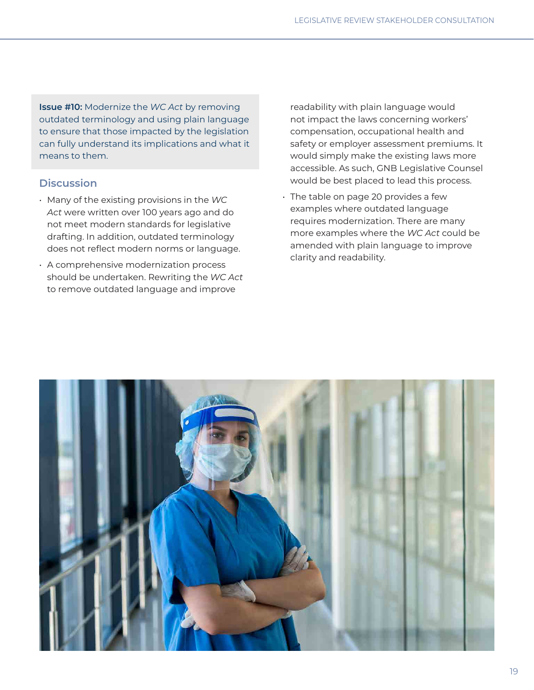**Issue #10:** Modernize the *WC Act* by removing outdated terminology and using plain language to ensure that those impacted by the legislation can fully understand its implications and what it means to them.

### **Discussion**

- Many of the existing provisions in the *WC Act* were written over 100 years ago and do not meet modern standards for legislative drafting. In addition, outdated terminology does not reflect modern norms or language.
- A comprehensive modernization process should be undertaken. Rewriting the *WC Act* to remove outdated language and improve

readability with plain language would not impact the laws concerning workers' compensation, occupational health and safety or employer assessment premiums. It would simply make the existing laws more accessible. As such, GNB Legislative Counsel would be best placed to lead this process.

• The table on page 20 provides a few examples where outdated language requires modernization. There are many more examples where the *WC Act* could be amended with plain language to improve clarity and readability.

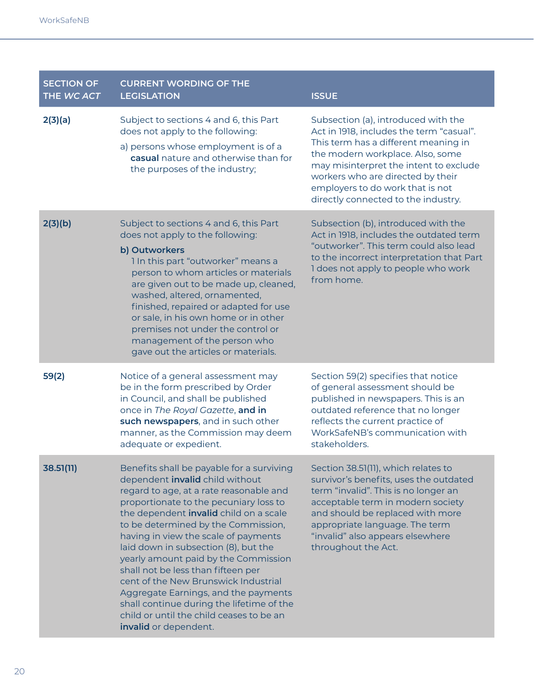| <b>SECTION OF</b><br>THE WC ACT | <b>CURRENT WORDING OF THE</b><br><b>LEGISLATION</b>                                                                                                                                                                                                                                                                                                                                                                                                                                                                                                                                                                       | <b>ISSUE</b>                                                                                                                                                                                                                                                                                                          |
|---------------------------------|---------------------------------------------------------------------------------------------------------------------------------------------------------------------------------------------------------------------------------------------------------------------------------------------------------------------------------------------------------------------------------------------------------------------------------------------------------------------------------------------------------------------------------------------------------------------------------------------------------------------------|-----------------------------------------------------------------------------------------------------------------------------------------------------------------------------------------------------------------------------------------------------------------------------------------------------------------------|
| 2(3)(a)                         | Subject to sections 4 and 6, this Part<br>does not apply to the following:<br>a) persons whose employment is of a<br>casual nature and otherwise than for<br>the purposes of the industry;                                                                                                                                                                                                                                                                                                                                                                                                                                | Subsection (a), introduced with the<br>Act in 1918, includes the term "casual".<br>This term has a different meaning in<br>the modern workplace. Also, some<br>may misinterpret the intent to exclude<br>workers who are directed by their<br>employers to do work that is not<br>directly connected to the industry. |
| 2(3)(b)                         | Subject to sections 4 and 6, this Part<br>does not apply to the following:<br>b) Outworkers<br>1 In this part "outworker" means a<br>person to whom articles or materials<br>are given out to be made up, cleaned,<br>washed, altered, ornamented,<br>finished, repaired or adapted for use<br>or sale, in his own home or in other<br>premises not under the control or<br>management of the person who<br>gave out the articles or materials.                                                                                                                                                                           | Subsection (b), introduced with the<br>Act in 1918, includes the outdated term<br>"outworker". This term could also lead<br>to the incorrect interpretation that Part<br>I does not apply to people who work<br>from home.                                                                                            |
| 59(2)                           | Notice of a general assessment may<br>be in the form prescribed by Order<br>in Council, and shall be published<br>once in The Royal Gazette, and in<br>such newspapers, and in such other<br>manner, as the Commission may deem<br>adequate or expedient.                                                                                                                                                                                                                                                                                                                                                                 | Section 59(2) specifies that notice<br>of general assessment should be<br>published in newspapers. This is an<br>outdated reference that no longer<br>reflects the current practice of<br>WorkSafeNB's communication with<br>stakeholders.                                                                            |
| 38.51(11)                       | Benefits shall be payable for a surviving<br>dependent invalid child without<br>regard to age, at a rate reasonable and<br>proportionate to the pecuniary loss to<br>the dependent <i>invalid</i> child on a scale<br>to be determined by the Commission,<br>having in view the scale of payments<br>laid down in subsection (8), but the<br>yearly amount paid by the Commission<br>shall not be less than fifteen per<br>cent of the New Brunswick Industrial<br>Aggregate Earnings, and the payments<br>shall continue during the lifetime of the<br>child or until the child ceases to be an<br>invalid or dependent. | Section 38.51(11), which relates to<br>survivor's benefits, uses the outdated<br>term "invalid". This is no longer an<br>acceptable term in modern society<br>and should be replaced with more<br>appropriate language. The term<br>"invalid" also appears elsewhere<br>throughout the Act.                           |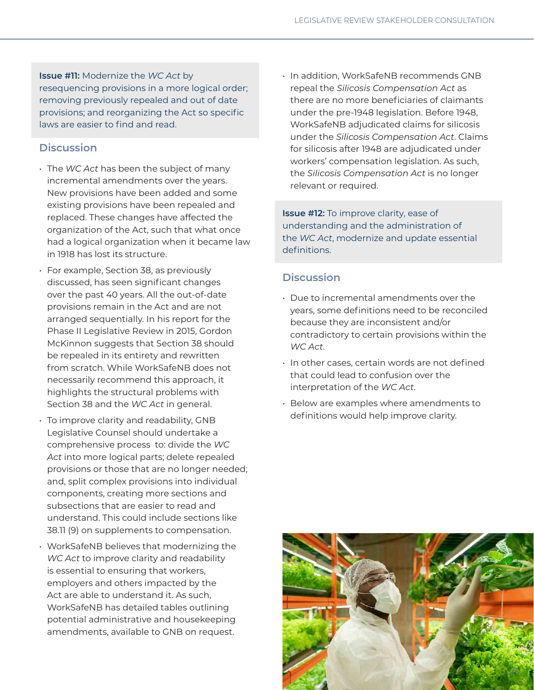**Issue #11:** Modernize the *WC Act* by resequencing provisions in a more logical order; removing previously repealed and out of date provisions; and reorganizing the Act so specific laws are easier to find and read.

### **Discussion**

- The *WC Act* has been the subject of many incremental amendments over the years. New provisions have been added and some existing provisions have been repealed and replaced. These changes have affected the organization of the Act, such that what once had a logical organization when it became law in 1918 has lost its structure.
- For example, Section 38, as previously discussed, has seen significant changes over the past 40 years. All the out-of-date provisions remain in the Act and are not arranged sequentially. In his report for the Phase II Legislative Review in 2015, Gordon McKinnon suggests that Section 38 should be repealed in its entirety and rewritten from scratch. While WorkSafeNB does not necessarily recommend this approach, it highlights the structural problems with Section 38 and the *WC Act* in general.
- To improve clarity and readability, GNB Legislative Counsel should undertake a comprehensive process to: divide the *WC Act* into more logical parts; delete repealed provisions or those that are no longer needed; and, split complex provisions into individual components, creating more sections and subsections that are easier to read and understand. This could include sections like 38.11 (9) on supplements to compensation.
- WorkSafeNB believes that modernizing the *WC Act* to improve clarity and readability is essential to ensuring that workers, employers and others impacted by the Act are able to understand it. As such, WorkSafeNB has detailed tables outlining potential administrative and housekeeping amendments, available to GNB on request.

• In addition, WorkSafeNB recommends GNB repeal the *Silicosis Compensation Act* as there are no more beneficiaries of claimants under the pre-1948 legislation. Before 1948, WorkSafeNB adjudicated claims for silicosis under the *Silicosis Compensation Act*. Claims for silicosis after 1948 are adjudicated under workers' compensation legislation. As such, the *Silicosis Compensation Act* is no longer relevant or required.

**Issue #12:** To improve clarity, ease of understanding and the administration of the *WC Act*, modernize and update essential definitions.

### **Discussion**

- Due to incremental amendments over the years, some definitions need to be reconciled because they are inconsistent and/or contradictory to certain provisions within the *WC Act*.
- In other cases, certain words are not defined that could lead to confusion over the interpretation of the *WC Act*.
- Below are examples where amendments to definitions would help improve clarity.

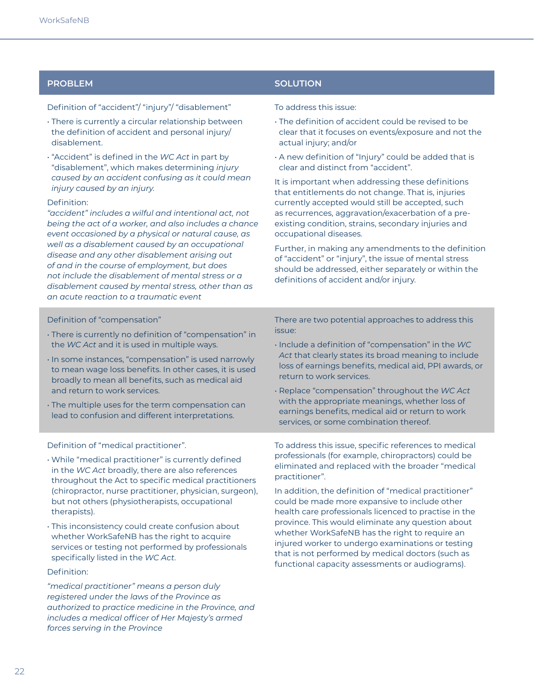Definition of "accident"/ "injury"/ "disablement"

- There is currently a circular relationship between the definition of accident and personal injury/ disablement.
- "Accident" is defined in the *WC Act* in part by "disablement", which makes determining *injury caused by an accident confusing as it could mean injury caused by an injury.*

### Definition:

*"accident" includes a wilful and intentional act, not being the act of a worker, and also includes a chance event occasioned by a physical or natural cause, as well as a disablement caused by an occupational disease and any other disablement arising out of and in the course of employment, but does not include the disablement of mental stress or a disablement caused by mental stress, other than as an acute reaction to a traumatic event*

### **PROBLEM SOLUTION**

### To address this issue:

- The definition of accident could be revised to be clear that it focuses on events/exposure and not the actual injury; and/or
- A new definition of "Injury" could be added that is clear and distinct from "accident".

It is important when addressing these definitions that entitlements do not change. That is, injuries currently accepted would still be accepted, such as recurrences, aggravation/exacerbation of a preexisting condition, strains, secondary injuries and occupational diseases.

Further, in making any amendments to the definition of "accident" or "injury", the issue of mental stress should be addressed, either separately or within the definitions of accident and/or injury.

### Definition of "compensation"

- There is currently no definition of "compensation" in the *WC Act* and it is used in multiple ways.
- In some instances, "compensation" is used narrowly to mean wage loss benefits. In other cases, it is used broadly to mean all benefits, such as medical aid and return to work services.
- The multiple uses for the term compensation can lead to confusion and different interpretations.

Definition of "medical practitioner".

- While "medical practitioner" is currently defined in the *WC Act* broadly, there are also references throughout the Act to specific medical practitioners (chiropractor, nurse practitioner, physician, surgeon), but not others (physiotherapists, occupational therapists).
- This inconsistency could create confusion about whether WorkSafeNB has the right to acquire services or testing not performed by professionals specifically listed in the *WC Act*.

### Definition:

*"medical practitioner" means a person duly registered under the laws of the Province as authorized to practice medicine in the Province, and includes a medical officer of Her Majesty's armed forces serving in the Province*

There are two potential approaches to address this issue:

- Include a definition of "compensation" in the *WC Act* that clearly states its broad meaning to include loss of earnings benefits, medical aid, PPI awards, or return to work services.
- Replace "compensation" throughout the *WC Act* with the appropriate meanings, whether loss of earnings benefits, medical aid or return to work services, or some combination thereof.

To address this issue, specific references to medical professionals (for example, chiropractors) could be eliminated and replaced with the broader "medical practitioner".

In addition, the definition of "medical practitioner" could be made more expansive to include other health care professionals licenced to practise in the province. This would eliminate any question about whether WorkSafeNB has the right to require an injured worker to undergo examinations or testing that is not performed by medical doctors (such as functional capacity assessments or audiograms).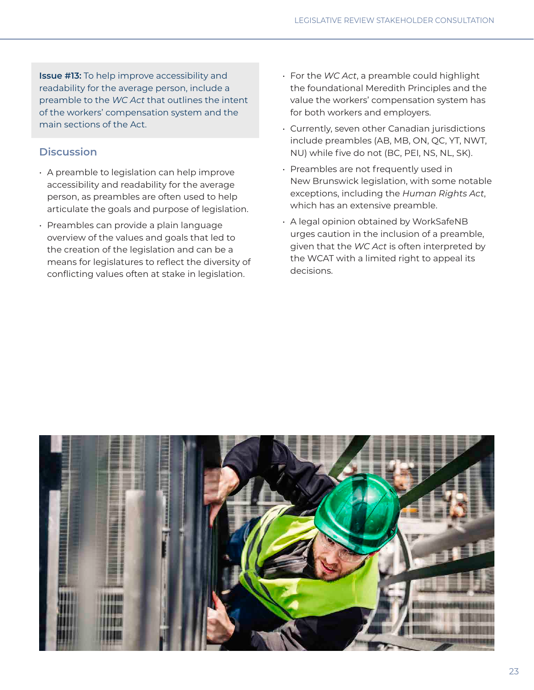**Issue #13:** To help improve accessibility and readability for the average person, include a preamble to the *WC Act* that outlines the intent of the workers' compensation system and the main sections of the Act.

### **Discussion**

- A preamble to legislation can help improve accessibility and readability for the average person, as preambles are often used to help articulate the goals and purpose of legislation.
- Preambles can provide a plain language overview of the values and goals that led to the creation of the legislation and can be a means for legislatures to reflect the diversity of conflicting values often at stake in legislation.
- For the *WC Act*, a preamble could highlight the foundational Meredith Principles and the value the workers' compensation system has for both workers and employers.
- Currently, seven other Canadian jurisdictions include preambles (AB, MB, ON, QC, YT, NWT, NU) while five do not (BC, PEI, NS, NL, SK).
- Preambles are not frequently used in New Brunswick legislation, with some notable exceptions, including the *Human Rights Act*, which has an extensive preamble.
- A legal opinion obtained by WorkSafeNB urges caution in the inclusion of a preamble, given that the *WC Act* is often interpreted by the WCAT with a limited right to appeal its decisions.

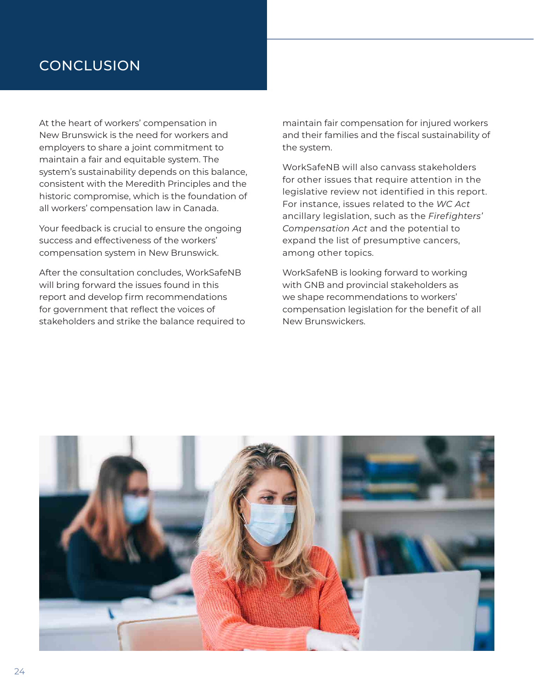## **CONCLUSION**

At the heart of workers' compensation in New Brunswick is the need for workers and employers to share a joint commitment to maintain a fair and equitable system. The system's sustainability depends on this balance, consistent with the Meredith Principles and the historic compromise, which is the foundation of all workers' compensation law in Canada.

Your feedback is crucial to ensure the ongoing success and effectiveness of the workers' compensation system in New Brunswick.

After the consultation concludes, WorkSafeNB will bring forward the issues found in this report and develop firm recommendations for government that reflect the voices of stakeholders and strike the balance required to maintain fair compensation for injured workers and their families and the fiscal sustainability of the system.

WorkSafeNB will also canvass stakeholders for other issues that require attention in the legislative review not identified in this report. For instance, issues related to the *WC Act* ancillary legislation, such as the *Firefighters' Compensation Act* and the potential to expand the list of presumptive cancers, among other topics.

WorkSafeNB is looking forward to working with GNB and provincial stakeholders as we shape recommendations to workers' compensation legislation for the benefit of all New Brunswickers.